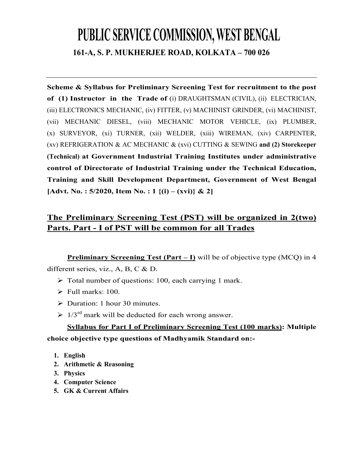## **PUBLIC SERVICE COMMISSION, WEST BENGAL 161-A, S. P. MUKHERJEE ROAD, KOLKATA – 700 026**

**Scheme & Syllabus for Preliminary Screening Test for recruitment to the post of (1) Instructor in the Trade of** (i) DRAUGHTSMAN (CIVIL), (ii) ELECTRICIAN, (iii) ELECTRONICS MECHANIC, (iv) FITTER, (v) MACHINIST GRINDER, (vi) MACHINIST, (vii) MECHANIC DIESEL, (viii) MECHANIC MOTOR VEHICLE, (ix) PLUMBER, (x) SURVEYOR, (xi) TURNER, (xii) WELDER, (xiii) WIREMAN, (xiv) CARPENTER, (xv) REFRIGERATION & AC MECHANIC & (xvi) CUTTING & SEWING **and (2) Storekeeper (Technical) at Government Industrial Training Institutes under administrative control of Directorate of Industrial Training under the Technical Education, Training and Skill Development Department, Government of West Bengal [Advt. No. : 5/2020, Item No. : 1 {(i) – (xvi)} & 2]** 

## **The Preliminary Screening Test (PST) will be organized in 2(two) Parts. Part - I of PST will be common for all Trades**

**Preliminary Screening Test (Part – I)** will be of objective type (MCQ) in 4 different series, viz., A, B, C & D.

- $\triangleright$  Total number of questions: 100, each carrying 1 mark.
- $\triangleright$  Full marks: 100.
- Duration: 1 hour 30 minutes.
- $\geq 1/3^{rd}$  mark will be deducted for each wrong answer.

**Syllabus for Part I of Preliminary Screening Test (100 marks): Multiple choice objective type questions of Madhyamik Standard on:-** 

- **1. English**
- **2. Arithmetic & Reasoning**
- **3. Physics**
- **4. Computer Science**
- **5. GK & Current Affairs**